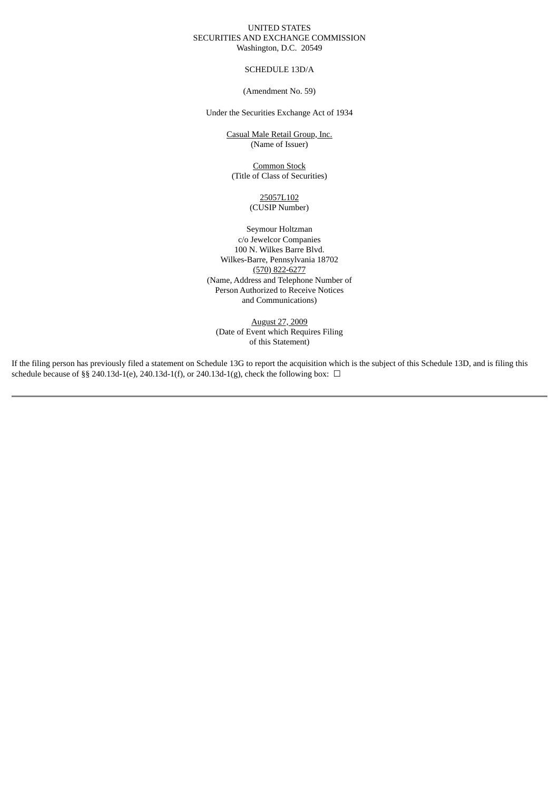## UNITED STATES SECURITIES AND EXCHANGE COMMISSION Washington, D.C. 20549

SCHEDULE 13D/A

(Amendment No. 59)

Under the Securities Exchange Act of 1934

Casual Male Retail Group, Inc. (Name of Issuer)

Common Stock (Title of Class of Securities)

> 25057L102 (CUSIP Number)

Seymour Holtzman c/o Jewelcor Companies 100 N. Wilkes Barre Blvd. Wilkes-Barre, Pennsylvania 18702 (570) 822-6277 (Name, Address and Telephone Number of Person Authorized to Receive Notices and Communications)

August 27, 2009 (Date of Event which Requires Filing of this Statement)

If the filing person has previously filed a statement on Schedule 13G to report the acquisition which is the subject of this Schedule 13D, and is filing this schedule because of §§ 240.13d-1(e), 240.13d-1(f), or 240.13d-1(g), check the following box:  $\Box$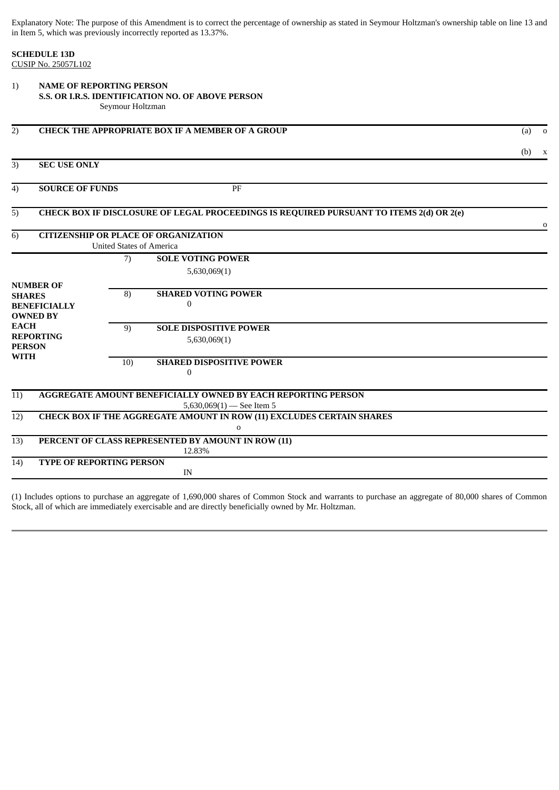Explanatory Note: The purpose of this Amendment is to correct the percentage of ownership as stated in Seymour Holtzman's ownership table on line 13 and in Item 5, which was previously incorrectly reported as 13.37%.

**SCHEDULE 13D** CUSIP No. 25057L102

| 1)               | <b>NAME OF REPORTING PERSON</b>                                                |                  |                                                                                             |          |  |  |
|------------------|--------------------------------------------------------------------------------|------------------|---------------------------------------------------------------------------------------------|----------|--|--|
|                  | S.S. OR I.R.S. IDENTIFICATION NO. OF ABOVE PERSON                              |                  |                                                                                             |          |  |  |
|                  |                                                                                | Seymour Holtzman |                                                                                             |          |  |  |
| $\overline{2)}$  | <b>CHECK THE APPROPRIATE BOX IF A MEMBER OF A GROUP</b>                        |                  |                                                                                             |          |  |  |
|                  |                                                                                |                  |                                                                                             | $(b)$ x  |  |  |
| $\overline{3)}$  | <b>SEC USE ONLY</b>                                                            |                  |                                                                                             |          |  |  |
| 4)               | <b>SOURCE OF FUNDS</b>                                                         |                  | PF                                                                                          |          |  |  |
| $\overline{5)}$  |                                                                                |                  | CHECK BOX IF DISCLOSURE OF LEGAL PROCEEDINGS IS REQUIRED PURSUANT TO ITEMS 2(d) OR 2(e)     | $\Omega$ |  |  |
| 6)               | <b>CITIZENSHIP OR PLACE OF ORGANIZATION</b><br><b>United States of America</b> |                  |                                                                                             |          |  |  |
|                  |                                                                                |                  |                                                                                             |          |  |  |
|                  |                                                                                | 7)               | <b>SOLE VOTING POWER</b>                                                                    |          |  |  |
|                  |                                                                                |                  | 5,630,069(1)                                                                                |          |  |  |
| <b>NUMBER OF</b> |                                                                                | 8)               | <b>SHARED VOTING POWER</b>                                                                  |          |  |  |
| <b>SHARES</b>    |                                                                                |                  | $\Omega$                                                                                    |          |  |  |
|                  | <b>BENEFICIALLY</b><br><b>OWNED BY</b>                                         |                  |                                                                                             |          |  |  |
| <b>EACH</b>      |                                                                                | 9)               | <b>SOLE DISPOSITIVE POWER</b>                                                               |          |  |  |
| <b>REPORTING</b> |                                                                                |                  | 5,630,069(1)                                                                                |          |  |  |
| <b>PERSON</b>    |                                                                                |                  |                                                                                             |          |  |  |
| <b>WITH</b>      |                                                                                | 10)              | <b>SHARED DISPOSITIVE POWER</b>                                                             |          |  |  |
|                  |                                                                                |                  | $\boldsymbol{0}$                                                                            |          |  |  |
| 11)              |                                                                                |                  | <b>AGGREGATE AMOUNT BENEFICIALLY OWNED BY EACH REPORTING PERSON</b>                         |          |  |  |
|                  |                                                                                |                  | 5,630,069 $(1)$ - See Item 5                                                                |          |  |  |
| 12)              |                                                                                |                  | <b>CHECK BOX IF THE AGGREGATE AMOUNT IN ROW (11) EXCLUDES CERTAIN SHARES</b><br>$\mathbf 0$ |          |  |  |
| 13)              |                                                                                |                  | PERCENT OF CLASS REPRESENTED BY AMOUNT IN ROW (11)<br>12.83%                                |          |  |  |
| 14)              | TYPE OF REPORTING PERSON                                                       |                  |                                                                                             |          |  |  |
|                  |                                                                                |                  | IN                                                                                          |          |  |  |
|                  |                                                                                |                  |                                                                                             |          |  |  |

(1) Includes options to purchase an aggregate of 1,690,000 shares of Common Stock and warrants to purchase an aggregate of 80,000 shares of Common Stock, all of which are immediately exercisable and are directly beneficially owned by Mr. Holtzman.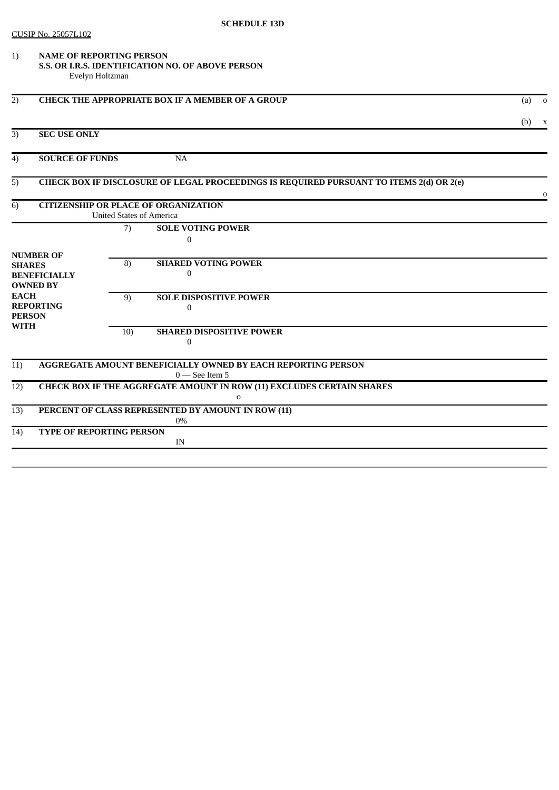## CUSIP No. 25057L102

1) **NAME OF REPORTING PERSON S.S. OR I.R.S. IDENTIFICATION NO. OF ABOVE PERSON** Evelyn Holtzman

| 2)                                                              | <b>CHECK THE APPROPRIATE BOX IF A MEMBER OF A GROUP</b>                                 |     |                                                                                      | (a)<br>$\overline{\mathbf{0}}$ |  |  |
|-----------------------------------------------------------------|-----------------------------------------------------------------------------------------|-----|--------------------------------------------------------------------------------------|--------------------------------|--|--|
|                                                                 |                                                                                         |     |                                                                                      | $(b)$ x                        |  |  |
| 3)                                                              | <b>SEC USE ONLY</b>                                                                     |     |                                                                                      |                                |  |  |
| 4)                                                              | <b>SOURCE OF FUNDS</b><br><b>NA</b>                                                     |     |                                                                                      |                                |  |  |
| 5)                                                              | CHECK BOX IF DISCLOSURE OF LEGAL PROCEEDINGS IS REQUIRED PURSUANT TO ITEMS 2(d) OR 2(e) |     |                                                                                      |                                |  |  |
| 6)                                                              | <b>CITIZENSHIP OR PLACE OF ORGANIZATION</b><br><b>United States of America</b>          |     |                                                                                      |                                |  |  |
|                                                                 |                                                                                         | 7)  | <b>SOLE VOTING POWER</b><br>$\Omega$                                                 |                                |  |  |
| <b>SHARES</b>                                                   | <b>NUMBER OF</b><br><b>BENEFICIALLY</b><br><b>OWNED BY</b>                              | 8)  | <b>SHARED VOTING POWER</b><br>$\mathbf{0}$                                           |                                |  |  |
| <b>EACH</b><br><b>REPORTING</b><br><b>PERSON</b><br><b>WITH</b> |                                                                                         | 9)  | <b>SOLE DISPOSITIVE POWER</b><br>$\Omega$                                            |                                |  |  |
|                                                                 |                                                                                         | 10) | <b>SHARED DISPOSITIVE POWER</b><br>$\mathbf{0}$                                      |                                |  |  |
| 11)                                                             | <b>AGGREGATE AMOUNT BENEFICIALLY OWNED BY EACH REPORTING PERSON</b><br>$0$ – See Item 5 |     |                                                                                      |                                |  |  |
| 12)                                                             |                                                                                         |     | CHECK BOX IF THE AGGREGATE AMOUNT IN ROW (11) EXCLUDES CERTAIN SHARES<br>$\mathbf 0$ |                                |  |  |
| 13)                                                             | PERCENT OF CLASS REPRESENTED BY AMOUNT IN ROW (11)<br>$0\%$                             |     |                                                                                      |                                |  |  |
| (14)                                                            | <b>TYPE OF REPORTING PERSON</b>                                                         |     |                                                                                      |                                |  |  |
|                                                                 |                                                                                         |     |                                                                                      |                                |  |  |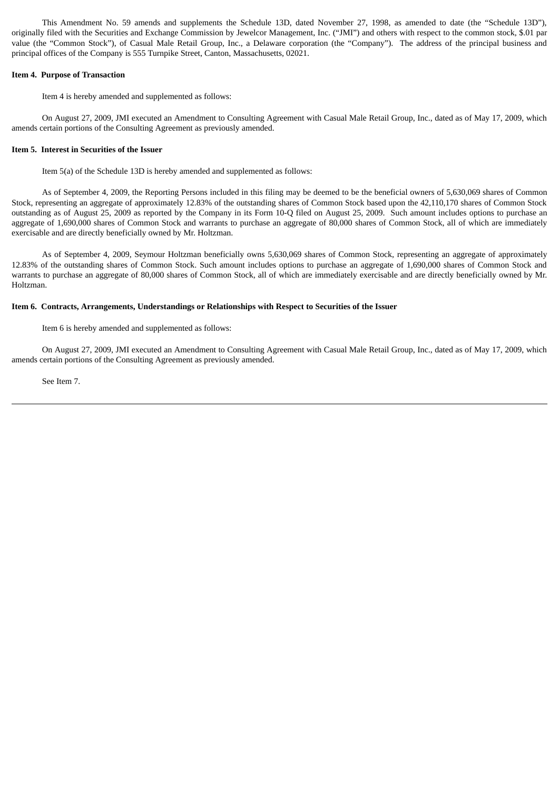This Amendment No. 59 amends and supplements the Schedule 13D, dated November 27, 1998, as amended to date (the "Schedule 13D"), originally filed with the Securities and Exchange Commission by Jewelcor Management, Inc. ("JMI") and others with respect to the common stock, \$.01 par value (the "Common Stock"), of Casual Male Retail Group, Inc., a Delaware corporation (the "Company"). The address of the principal business and principal offices of the Company is 555 Turnpike Street, Canton, Massachusetts, 02021.

#### **Item 4. Purpose of Transaction**

Item 4 is hereby amended and supplemented as follows:

On August 27, 2009, JMI executed an Amendment to Consulting Agreement with Casual Male Retail Group, Inc., dated as of May 17, 2009, which amends certain portions of the Consulting Agreement as previously amended.

## **Item 5. Interest in Securities of the Issuer**

Item 5(a) of the Schedule 13D is hereby amended and supplemented as follows:

As of September 4, 2009, the Reporting Persons included in this filing may be deemed to be the beneficial owners of 5,630,069 shares of Common Stock, representing an aggregate of approximately 12.83% of the outstanding shares of Common Stock based upon the 42,110,170 shares of Common Stock outstanding as of August 25, 2009 as reported by the Company in its Form 10-Q filed on August 25, 2009. Such amount includes options to purchase an aggregate of 1,690,000 shares of Common Stock and warrants to purchase an aggregate of 80,000 shares of Common Stock, all of which are immediately exercisable and are directly beneficially owned by Mr. Holtzman.

As of September 4, 2009, Seymour Holtzman beneficially owns 5,630,069 shares of Common Stock, representing an aggregate of approximately 12.83% of the outstanding shares of Common Stock. Such amount includes options to purchase an aggregate of 1,690,000 shares of Common Stock and warrants to purchase an aggregate of 80,000 shares of Common Stock, all of which are immediately exercisable and are directly beneficially owned by Mr. Holtzman.

### **Item 6. Contracts, Arrangements, Understandings or Relationships with Respect to Securities of the Issuer**

Item 6 is hereby amended and supplemented as follows:

On August 27, 2009, JMI executed an Amendment to Consulting Agreement with Casual Male Retail Group, Inc., dated as of May 17, 2009, which amends certain portions of the Consulting Agreement as previously amended.

See Item 7.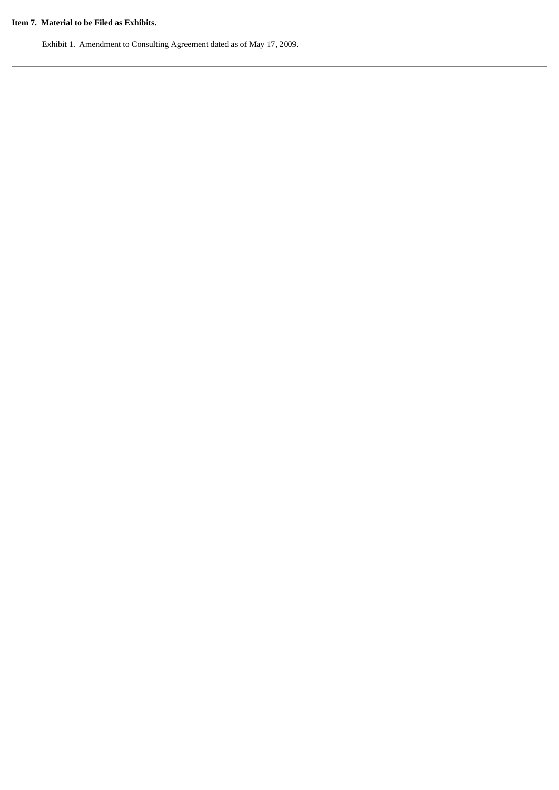## **Item 7. Material to be Filed as Exhibits.**

Exhibit 1. Amendment to Consulting Agreement dated as of May 17, 2009.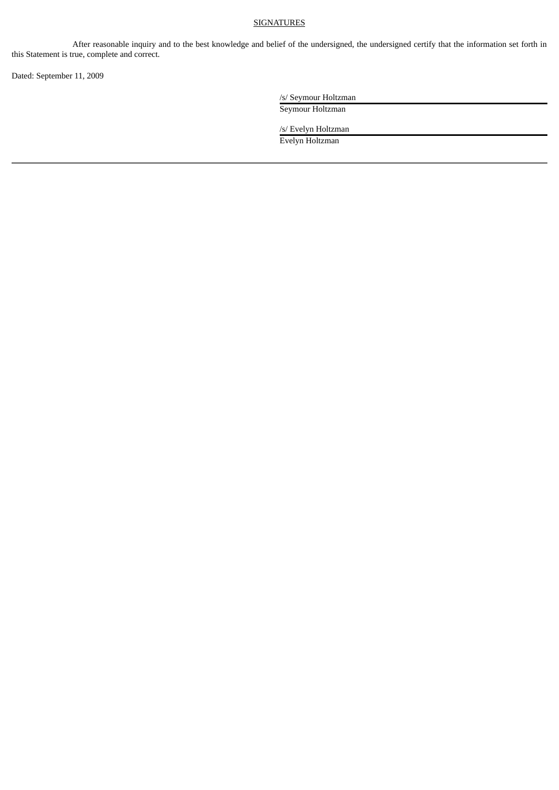## **SIGNATURES**

After reasonable inquiry and to the best knowledge and belief of the undersigned, the undersigned certify that the information set forth in this Statement is true, complete and correct.

Dated: September 11, 2009

/s/ Seymour Holtzman

Seymour Holtzman

/s/ Evelyn Holtzman Evelyn Holtzman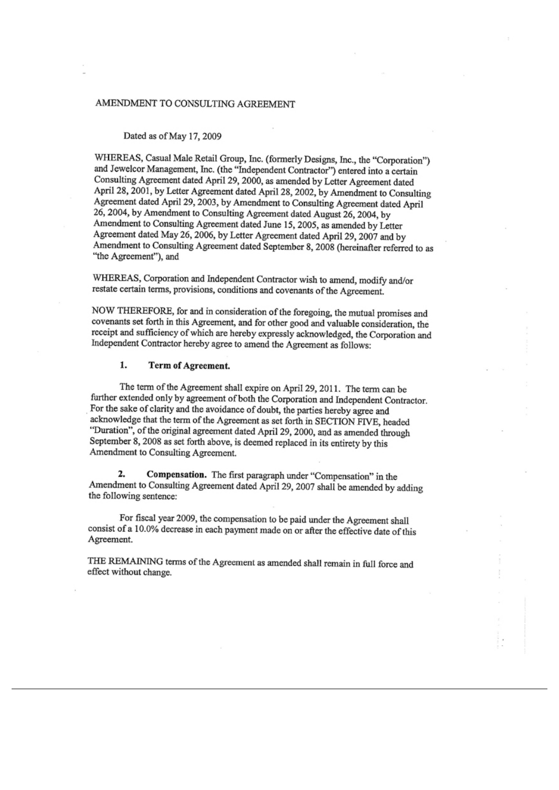# AMENDMENT TO CONSULTING AGREEMENT

#### Dated as of May 17, 2009

WHEREAS, Casual Male Retail Group, Inc. (formerly Designs, Inc., the "Corporation") and Jewelcor Management, Inc. (the "Independent Contractor") entered into a certain Consulting Agreement dated April 29, 2000, as amended by Letter Agreement dated April 28, 2001, by Letter Agreement dated April 28, 2002, by Amendment to Consulting Agreement dated April 29, 2003, by Amendment to Consulting Agreement dated April 26, 2004, by Amendment to Consulting Agreement dated August 26, 2004, by Amendment to Consulting Agreement dated June 15, 2005, as amended by Letter Agreement dated May 26, 2006, by Letter Agreement dated April 29, 2007 and by Amendment to Consulting Agreement dated September 8, 2008 (hereinafter referred to as "the Agreement"), and

WHEREAS, Corporation and Independent Contractor wish to amend, modify and/or restate certain terms, provisions, conditions and covenants of the Agreement.

NOW THEREFORE, for and in consideration of the foregoing, the mutual promises and covenants set forth in this Agreement, and for other good and valuable consideration, the receipt and sufficiency of which are hereby expressly acknowledged, the Corporation and Independent Contractor hereby agree to amend the Agreement as follows:

#### 1. **Term of Agreement.**

The term of the Agreement shall expire on April 29, 2011. The term can be further extended only by agreement of both the Corporation and Independent Contractor. For the sake of clarity and the avoidance of doubt, the parties hereby agree and acknowledge that the term of the Agreement as set forth in SECTION FIVE, headed "Duration", of the original agreement dated April 29, 2000, and as amended through September 8, 2008 as set forth above, is deemed replaced in its entirety by this Amendment to Consulting Agreement.

 $2.$ Compensation. The first paragraph under "Compensation" in the Amendment to Consulting Agreement dated April 29, 2007 shall be amended by adding the following sentence:

For fiscal year 2009, the compensation to be paid under the Agreement shall consist of a 10.0% decrease in each payment made on or after the effective date of this Agreement.

THE REMAINING terms of the Agreement as amended shall remain in full force and effect without change.